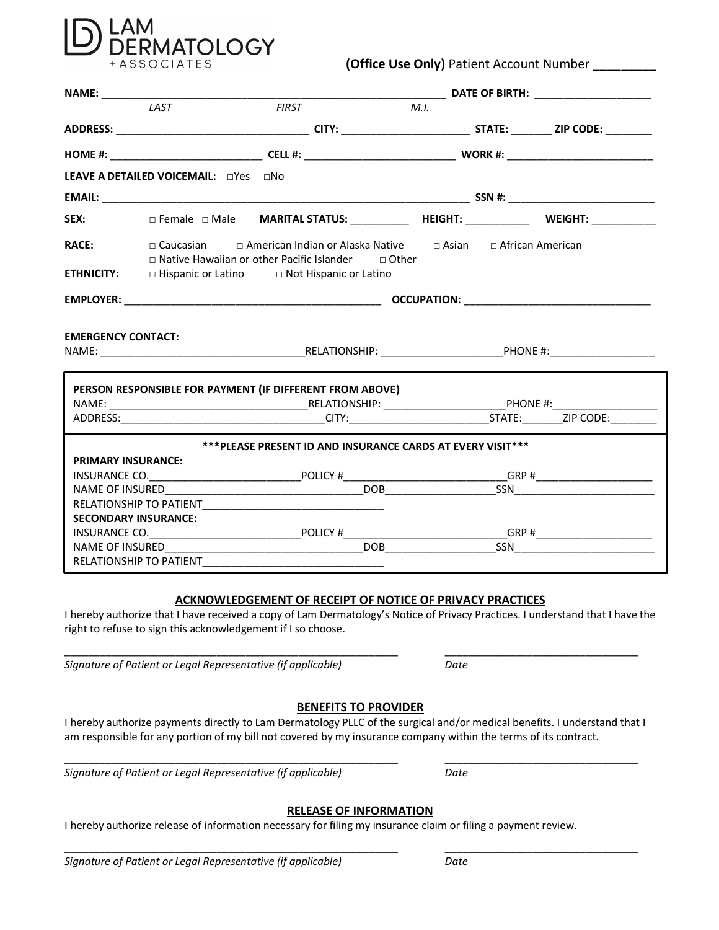

## **(Office Use Only)** Patient Account Number

|                                   | LAST                                                     | <b>FIRST</b> |                                                                                                                                            | M.I. |  |  |
|-----------------------------------|----------------------------------------------------------|--------------|--------------------------------------------------------------------------------------------------------------------------------------------|------|--|--|
|                                   |                                                          |              |                                                                                                                                            |      |  |  |
|                                   |                                                          |              |                                                                                                                                            |      |  |  |
|                                   | LEAVE A DETAILED VOICEMAIL: nYes no                      |              |                                                                                                                                            |      |  |  |
|                                   |                                                          |              |                                                                                                                                            |      |  |  |
| SEX:                              |                                                          |              |                                                                                                                                            |      |  |  |
| <b>RACE:</b><br><b>ETHNICITY:</b> | □ Hispanic or Latino □ Not Hispanic or Latino            |              | □ Caucasian □ American Indian or Alaska Native □ Asian □ African American<br>$\Box$ Native Hawaiian or other Pacific Islander $\Box$ Other |      |  |  |
|                                   |                                                          |              |                                                                                                                                            |      |  |  |
|                                   |                                                          |              |                                                                                                                                            |      |  |  |
| <b>EMERGENCY CONTACT:</b>         | PERSON RESPONSIBLE FOR PAYMENT (IF DIFFERENT FROM ABOVE) |              |                                                                                                                                            |      |  |  |
|                                   |                                                          |              |                                                                                                                                            |      |  |  |
|                                   |                                                          |              |                                                                                                                                            |      |  |  |
|                                   |                                                          |              | *** PLEASE PRESENT ID AND INSURANCE CARDS AT EVERY VISIT***                                                                                |      |  |  |
| <b>PRIMARY INSURANCE:</b>         |                                                          |              |                                                                                                                                            |      |  |  |
|                                   |                                                          |              |                                                                                                                                            |      |  |  |
|                                   |                                                          |              |                                                                                                                                            |      |  |  |
|                                   |                                                          |              |                                                                                                                                            |      |  |  |
|                                   | <b>SECONDARY INSURANCE:</b>                              |              |                                                                                                                                            |      |  |  |
|                                   |                                                          |              |                                                                                                                                            |      |  |  |
|                                   |                                                          |              |                                                                                                                                            |      |  |  |
|                                   | <b>RELATIONSHIP TO PATIENT</b>                           |              |                                                                                                                                            |      |  |  |

#### **ACKNOWLEDGEMENT OF RECEIPT OF NOTICE OF PRIVACY PRACTICES**

I hereby authorize that I have received a copy of Lam Dermatology's Notice of Privacy Practices. I understand that I have the right to refuse to sign this acknowledgement if I so choose.

 $\_$  ,  $\_$  ,  $\_$  ,  $\_$  ,  $\_$  ,  $\_$  ,  $\_$  ,  $\_$  ,  $\_$  ,  $\_$  ,  $\_$  ,  $\_$  ,  $\_$  ,  $\_$  ,  $\_$  ,  $\_$  ,  $\_$  ,  $\_$  ,  $\_$  ,  $\_$  ,  $\_$  ,  $\_$  ,  $\_$  ,  $\_$  ,  $\_$  ,  $\_$  ,  $\_$  ,  $\_$  ,  $\_$  ,  $\_$  ,  $\_$  ,  $\_$  ,  $\_$  ,  $\_$  ,  $\_$  ,  $\_$  ,  $\_$  ,

*Signature of Patient or Legal Representative (if applicable) Date*

## **BENEFITS TO PROVIDER**

I hereby authorize payments directly to Lam Dermatology PLLC of the surgical and/or medical benefits. I understand that I am responsible for any portion of my bill not covered by my insurance company within the terms of its contract.

 $\_$  ,  $\_$  ,  $\_$  ,  $\_$  ,  $\_$  ,  $\_$  ,  $\_$  ,  $\_$  ,  $\_$  ,  $\_$  ,  $\_$  ,  $\_$  ,  $\_$  ,  $\_$  ,  $\_$  ,  $\_$  ,  $\_$  ,  $\_$  ,  $\_$  ,  $\_$  ,  $\_$  ,  $\_$  ,  $\_$  ,  $\_$  ,  $\_$  ,  $\_$  ,  $\_$  ,  $\_$  ,  $\_$  ,  $\_$  ,  $\_$  ,  $\_$  ,  $\_$  ,  $\_$  ,  $\_$  ,  $\_$  ,  $\_$  ,

*Signature of Patient or Legal Representative (if applicable) Date*

## **RELEASE OF INFORMATION**

\_\_\_\_\_\_\_\_\_\_\_\_\_\_\_\_\_\_\_\_\_\_\_\_\_\_\_\_\_\_\_\_\_\_\_\_\_\_\_\_\_\_\_\_\_\_\_\_\_\_\_\_\_\_\_\_\_ \_\_\_\_\_\_\_\_\_\_\_\_\_\_\_\_\_\_\_\_\_\_\_\_\_\_\_\_\_\_\_\_\_

I hereby authorize release of information necessary for filing my insurance claim or filing a payment review.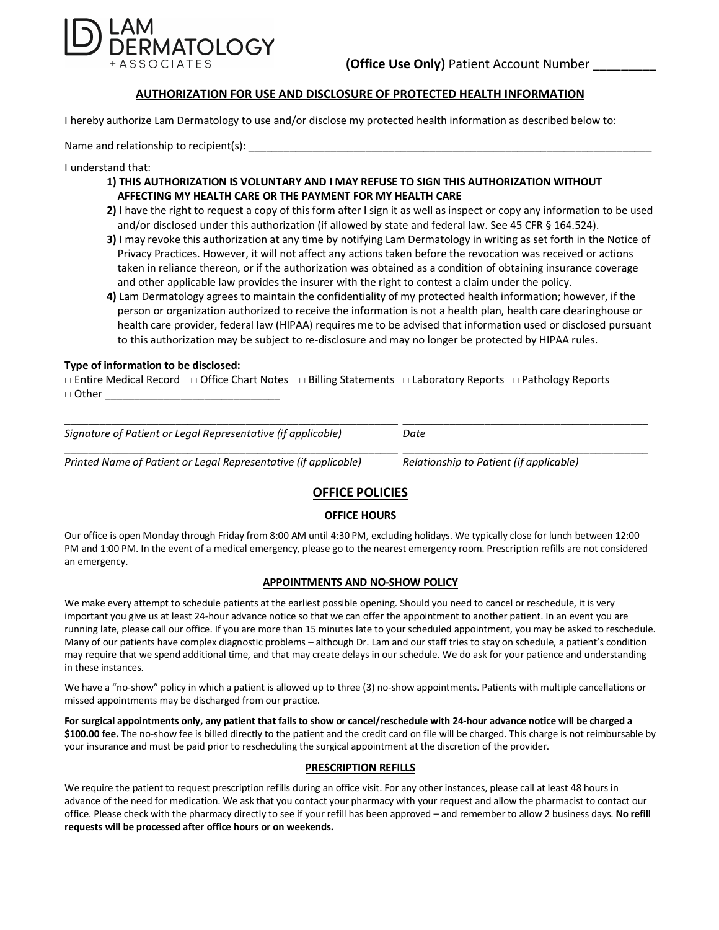

### **AUTHORIZATION FOR USE AND DISCLOSURE OF PROTECTED HEALTH INFORMATION**

I hereby authorize Lam Dermatology to use and/or disclose my protected health information as described below to:

Name and relationship to recipient(s):

I understand that:

- **1) THIS AUTHORIZATION IS VOLUNTARY AND I MAY REFUSE TO SIGN THIS AUTHORIZATION WITHOUT AFFECTING MY HEALTH CARE OR THE PAYMENT FOR MY HEALTH CARE**
- **2)** I have the right to request a copy of this form after I sign it as well as inspect or copy any information to be used and/or disclosed under this authorization (if allowed by state and federal law. See 45 CFR § 164.524).
- **3)** I may revoke this authorization at any time by notifying Lam Dermatology in writing as set forth in the Notice of Privacy Practices. However, it will not affect any actions taken before the revocation was received or actions taken in reliance thereon, or if the authorization was obtained as a condition of obtaining insurance coverage and other applicable law provides the insurer with the right to contest a claim under the policy.
- **4)** Lam Dermatology agrees to maintain the confidentiality of my protected health information; however, if the person or organization authorized to receive the information is not a health plan, health care clearinghouse or health care provider, federal law (HIPAA) requires me to be advised that information used or disclosed pursuant to this authorization may be subject to re-disclosure and may no longer be protected by HIPAA rules.

#### **Type of information to be disclosed:**

**□** Entire Medical Record **□** Office Chart Notes □ Billing Statements □ Laboratory Reports □ Pathology Reports  $\Box$  Other  $\_$ 

| Signature of Patient or Legal Representative (if applicable)    | Date                                    |  |
|-----------------------------------------------------------------|-----------------------------------------|--|
| Printed Name of Patient or Legal Representative (if applicable) | Relationship to Patient (if applicable) |  |

## **OFFICE POLICIES**

#### **OFFICE HOURS**

Our office is open Monday through Friday from 8:00 AM until 4:30 PM, excluding holidays. We typically close for lunch between 12:00 PM and 1:00 PM. In the event of a medical emergency, please go to the nearest emergency room. Prescription refills are not considered an emergency.

#### **APPOINTMENTS AND NO-SHOW POLICY**

We make every attempt to schedule patients at the earliest possible opening. Should you need to cancel or reschedule, it is very important you give us at least 24-hour advance notice so that we can offer the appointment to another patient. In an event you are running late, please call our office. If you are more than 15 minutes late to your scheduled appointment, you may be asked to reschedule. Many of our patients have complex diagnostic problems – although Dr. Lam and our staff tries to stay on schedule, a patient's condition may require that we spend additional time, and that may create delays in our schedule. We do ask for your patience and understanding in these instances.

We have a "no-show" policy in which a patient is allowed up to three (3) no-show appointments. Patients with multiple cancellations or missed appointments may be discharged from our practice.

**For surgical appointments only, any patient that fails to show or cancel/reschedule with 24-hour advance notice will be charged a \$100.00 fee.** The no-show fee is billed directly to the patient and the credit card on file will be charged. This charge is not reimbursable by your insurance and must be paid prior to rescheduling the surgical appointment at the discretion of the provider.

#### **PRESCRIPTION REFILLS**

We require the patient to request prescription refills during an office visit. For any other instances, please call at least 48 hours in advance of the need for medication. We ask that you contact your pharmacy with your request and allow the pharmacist to contact our office. Please check with the pharmacy directly to see if your refill has been approved – and remember to allow 2 business days. **No refill requests will be processed after office hours or on weekends.**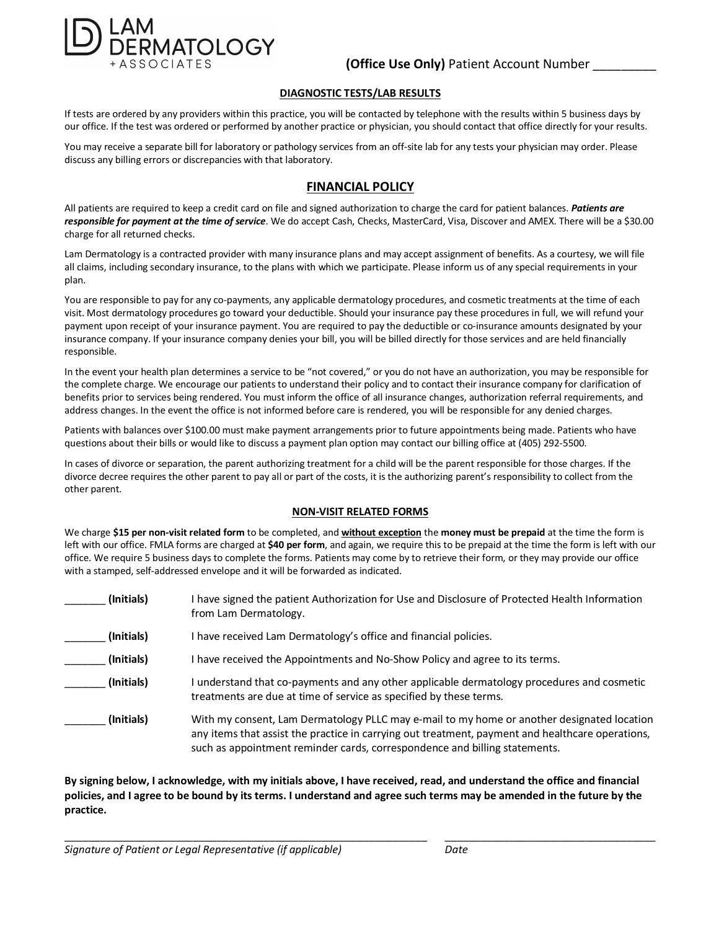

#### **DIAGNOSTIC TESTS/LAB RESULTS**

If tests are ordered by any providers within this practice, you will be contacted by telephone with the results within 5 business days by our office. If the test was ordered or performed by another practice or physician, you should contact that office directly for your results.

You may receive a separate bill for laboratory or pathology services from an off-site lab for any tests your physician may order. Please discuss any billing errors or discrepancies with that laboratory.

## **FINANCIAL POLICY**

All patients are required to keep a credit card on file and signed authorization to charge the card for patient balances. *Patients are responsible for payment at the time of service*. We do accept Cash, Checks, MasterCard, Visa, Discover and AMEX. There will be a \$30.00 charge for all returned checks.

Lam Dermatology is a contracted provider with many insurance plans and may accept assignment of benefits. As a courtesy, we will file all claims, including secondary insurance, to the plans with which we participate. Please inform us of any special requirements in your plan.

You are responsible to pay for any co-payments, any applicable dermatology procedures, and cosmetic treatments at the time of each visit. Most dermatology procedures go toward your deductible. Should your insurance pay these procedures in full, we will refund your payment upon receipt of your insurance payment. You are required to pay the deductible or co-insurance amounts designated by your insurance company. If your insurance company denies your bill, you will be billed directly for those services and are held financially responsible.

In the event your health plan determines a service to be "not covered," or you do not have an authorization, you may be responsible for the complete charge. We encourage our patients to understand their policy and to contact their insurance company for clarification of benefits prior to services being rendered. You must inform the office of all insurance changes, authorization referral requirements, and address changes. In the event the office is not informed before care is rendered, you will be responsible for any denied charges.

Patients with balances over \$100.00 must make payment arrangements prior to future appointments being made. Patients who have questions about their bills or would like to discuss a payment plan option may contact our billing office at (405) 292-5500.

In cases of divorce or separation, the parent authorizing treatment for a child will be the parent responsible for those charges. If the divorce decree requires the other parent to pay all or part of the costs, it is the authorizing parent's responsibility to collect from the other parent.

#### **NON-VISIT RELATED FORMS**

We charge **\$15 per non-visit related form** to be completed, and **without exception** the **money must be prepaid** at the time the form is left with our office. FMLA forms are charged at **\$40 per form**, and again, we require this to be prepaid at the time the form is left with our office. We require 5 business days to complete the forms. Patients may come by to retrieve their form, or they may provide our office with a stamped, self-addressed envelope and it will be forwarded as indicated.

| (Initials) | have signed the patient Authorization for Use and Disclosure of Protected Health Information<br>from Lam Dermatology.                                                                                                                                                        |
|------------|------------------------------------------------------------------------------------------------------------------------------------------------------------------------------------------------------------------------------------------------------------------------------|
| (Initials) | I have received Lam Dermatology's office and financial policies.                                                                                                                                                                                                             |
| (Initials) | have received the Appointments and No-Show Policy and agree to its terms.                                                                                                                                                                                                    |
| (Initials) | understand that co-payments and any other applicable dermatology procedures and cosmetic<br>treatments are due at time of service as specified by these terms.                                                                                                               |
| (Initials) | With my consent, Lam Dermatology PLLC may e-mail to my home or another designated location<br>any items that assist the practice in carrying out treatment, payment and healthcare operations,<br>such as appointment reminder cards, correspondence and billing statements. |

**By signing below, I acknowledge, with my initials above, I have received, read, and understand the office and financial policies, and I agree to be bound by its terms. I understand and agree such terms may be amended in the future by the practice.**

\_\_\_\_\_\_\_\_\_\_\_\_\_\_\_\_\_\_\_\_\_\_\_\_\_\_\_\_\_\_\_\_\_\_\_\_\_\_\_\_\_\_\_\_\_\_\_\_\_\_\_\_\_\_\_\_\_\_\_\_\_\_ \_\_\_\_\_\_\_\_\_\_\_\_\_\_\_\_\_\_\_\_\_\_\_\_\_\_\_\_\_\_\_\_\_\_\_\_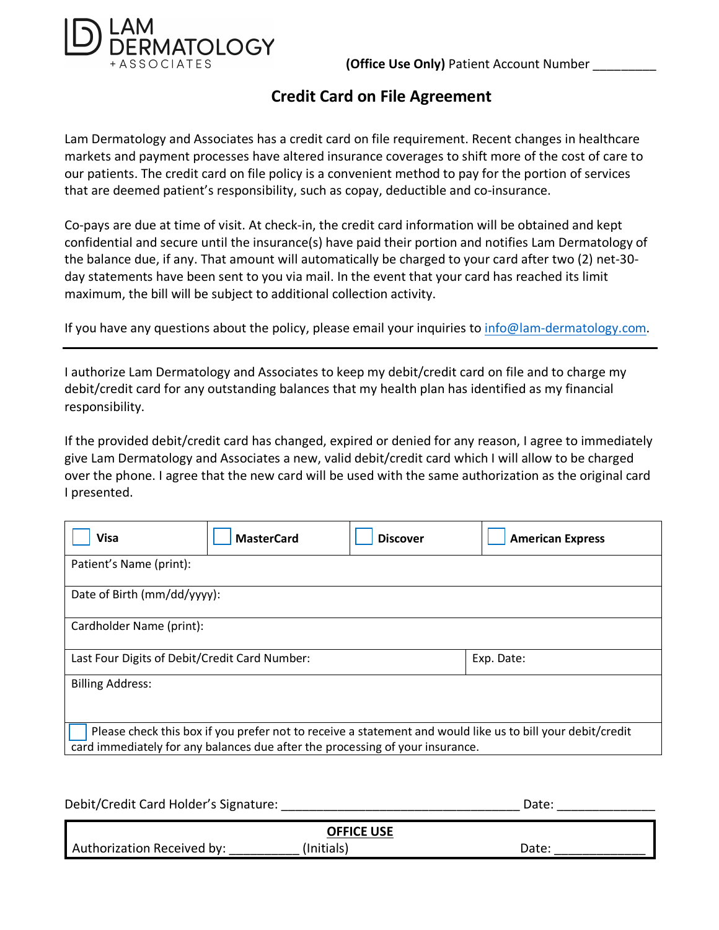

 **(Office Use Only)** Patient Account Number \_\_\_\_\_\_\_\_\_

# **Credit Card on File Agreement**

Lam Dermatology and Associates has a credit card on file requirement. Recent changes in healthcare markets and payment processes have altered insurance coverages to shift more of the cost of care to our patients. The credit card on file policy is a convenient method to pay for the portion of services that are deemed patient's responsibility, such as copay, deductible and co-insurance.

Co-pays are due at time of visit. At check-in, the credit card information will be obtained and kept confidential and secure until the insurance(s) have paid their portion and notifies Lam Dermatology of the balance due, if any. That amount will automatically be charged to your card after two (2) net-30 day statements have been sent to you via mail. In the event that your card has reached its limit maximum, the bill will be subject to additional collection activity.

If you have any questions about the policy, please email your inquiries to info@lam-dermatology.com.

I authorize Lam Dermatology and Associates to keep my debit/credit card on file and to charge my debit/credit card for any outstanding balances that my health plan has identified as my financial responsibility.

If the provided debit/credit card has changed, expired or denied for any reason, I agree to immediately give Lam Dermatology and Associates a new, valid debit/credit card which I will allow to be charged over the phone. I agree that the new card will be used with the same authorization as the original card I presented.

| <b>Visa</b>                                   | <b>MasterCard</b>                                                             | <b>Discover</b> | <b>American Express</b>                                                                                    |  |  |  |  |
|-----------------------------------------------|-------------------------------------------------------------------------------|-----------------|------------------------------------------------------------------------------------------------------------|--|--|--|--|
| Patient's Name (print):                       |                                                                               |                 |                                                                                                            |  |  |  |  |
| Date of Birth (mm/dd/yyyy):                   |                                                                               |                 |                                                                                                            |  |  |  |  |
| Cardholder Name (print):                      |                                                                               |                 |                                                                                                            |  |  |  |  |
| Last Four Digits of Debit/Credit Card Number: |                                                                               |                 | Exp. Date:                                                                                                 |  |  |  |  |
| <b>Billing Address:</b>                       |                                                                               |                 |                                                                                                            |  |  |  |  |
|                                               | card immediately for any balances due after the processing of your insurance. |                 | Please check this box if you prefer not to receive a statement and would like us to bill your debit/credit |  |  |  |  |

| Debit/Credit Card Holder's Signature: | Date:      |       |  |  |  |  |
|---------------------------------------|------------|-------|--|--|--|--|
|                                       |            |       |  |  |  |  |
| <b>OFFICE USE</b>                     |            |       |  |  |  |  |
| Authorization Received by:            | (Initials) | Date: |  |  |  |  |